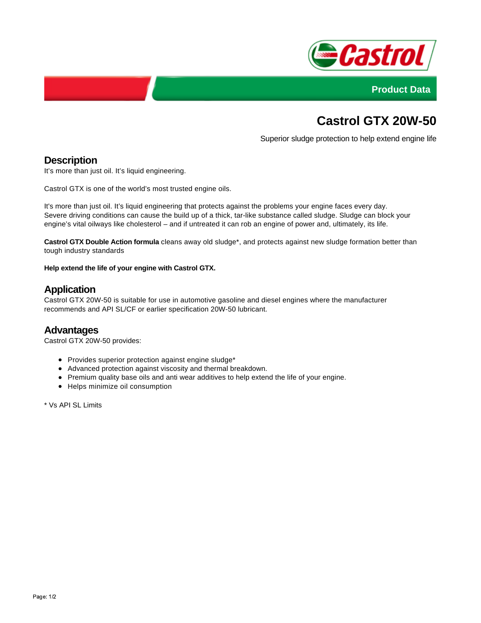



# **Castrol GTX 20W-50**

Superior sludge protection to help extend engine life

#### **Description**

It's more than just oil. It's liquid engineering.

Castrol GTX is one of the world's most trusted engine oils.

It's more than just oil. It's liquid engineering that protects against the problems your engine faces every day. Severe driving conditions can cause the build up of a thick, tar-like substance called sludge. Sludge can block your engine's vital oilways like cholesterol – and if untreated it can rob an engine of power and, ultimately, its life.

**Castrol GTX Double Action formula** cleans away old sludge\*, and protects against new sludge formation better than tough industry standards

**Help extend the life of your engine with Castrol GTX.**

#### **Application**

Castrol GTX 20W-50 is suitable for use in automotive gasoline and diesel engines where the manufacturer recommends and API SL/CF or earlier specification 20W-50 lubricant.

#### **Advantages**

Castrol GTX 20W-50 provides:

- Provides superior protection against engine sludge\*
- Advanced protection against viscosity and thermal breakdown.
- Premium quality base oils and anti wear additives to help extend the life of your engine.
- Helps minimize oil consumption

\* Vs API SL Limits